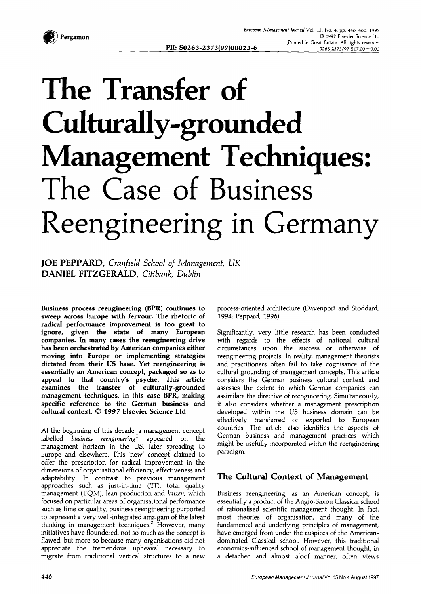

## **The Transfer of Culturally-grounded Management Techniques: The Case of Business Reengineering in Germany**

JOE PEPPARD, *Cranfield School of Management, UK*  DANIEL FITZGERALD, *Citibank, Dublin* 

**Business process reengineering (BPR) continues to sweep across Europe with fervour. The rhetoric of radical performance improvement is too great to ignore, given the state of many European companies. In many cases the reengineering drive has been orchestrated by American companies either moving into Europe or implementing strategies dictated from their US base. Yet reengineering is essentially an American concept, packaged so as to appeal to that country's psyche. This article examines the transfer of culturally-grounded management techniques, in this case BPR, making specific reference to the German business and cultural context. ©** *1997* **Elsevier Science Ltd** 

At the beginning of this decade, a management concept labelled *business reengineering* appeared on the management horizon in the US, later spreading to Europe and elsewhere. This 'new' concept claimed to offer the prescription for radical improvement in the dimensions of organisational efficiency, effectiveness and adaptability. In contrast to previous management approaches such as just-in-time (JIT), total quality management (TQM), lean production and *kaizen,* which focused on particular areas of organisational performance such as time or quality, business reengineering purported to represent a very well-integrated amalgam of the latest thinking in management techniques.<sup>2</sup> However, many initiatives have floundered, not so much as the concept is flawed, but more so because many organisations did not appreciate the tremendous upheaval necessary to migrate from traditional vertical structures to a new

process-oriented architecture (Davenport and Stoddard, 1994; Peppard, 1996).

Significantly, very little research has been conducted with regards to the effects of national cultural circumstances upon the success or otherwise of reengineefing projects. In reality, management theorists and practitioners often fail to take cognisance of the cultural grounding of management concepts. This article considers the German business cultural context and assesses the extent to which German companies can assimilate the directive of reengineering. Simultaneously, it also considers whether a management prescription developed within the US business domain can be effectively transferred or exported to European countries. The article also identifies the aspects of German business and management practices which might be usefully incorporated within the reengineering paradigm.

## **The Cultural Context of Management**

Business reengineering, as an American concept, is essentially a product of the Anglo-Saxon Classical school of rationalised scientific management thought. In fact, most theories of organisation, and many of the fundamental and underlying principles of management, have emerged from under the auspices of the Americandominated Classical school. However, this traditional economics-influenced school of management thought, in a detached and almost aloof manner, often views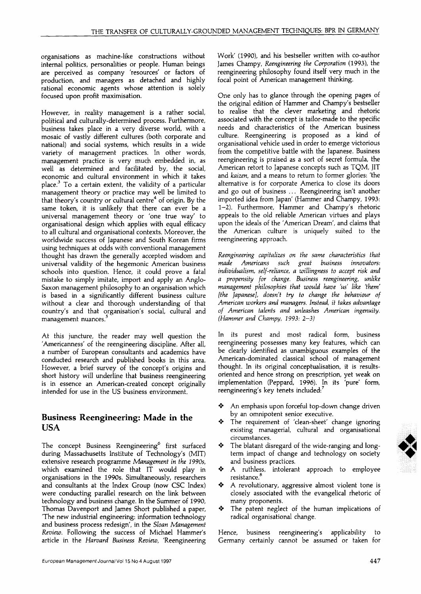organisations as machine-like constructions without internal politics, personalities or people. Human beings are perceived as company 'resources' or factors of production, and managers as detached and highly rational economic agents whose attention is solely focused upon profit maximisation.

However, in reality management is a rather social, political and culturally-determined process. Furthermore, business takes place in a very diverse world, with a mosaic of vastly different cultures (both corporate and national) and social systems, which results in a wide variety of management practices. In other words, management practice is very much embedded in, as well as determined and facilitated by, the social, economic and cultural environment in which it takes place.<sup>3</sup> To a certain extent, the validity of a particular management theory or practice may well be limited to that theory's country or cultural centre<sup>4</sup> of origin. By the same token, it is unlikely that there can ever be a universal management theory or 'one true way' to organisational design which applies with equal efficacy to all cultural and organisational contexts. Moreover, the worldwide success of Japanese and South Korean firms using techniques at odds with conventional management thought has drawn the generally accepted wisdom and universal validity of the hegemonic American business schools into question. Hence, it could prove a fatal mistake to simply imitate, import and apply an Anglo-Saxon management philosophy to an organisation which is based in a significantly different business culture without a clear and thorough understanding of that country's and that organisation's social, cultural and management nuances.<sup>5</sup>

At this juncture, the reader may well question the 'Americanness' of the reengineering discipline. After all, a number of European consultants and academics have conducted research and published books in this area. However, a brief survey of the concept's origins and short history will underline that business reengineering is in essence an American-created concept originally intended for use in the US business environment.

## **Business Reengineering: Made in the USA**

The concept Business Reengineering<sup>6</sup> first surfaced during Massachusetts Institute of Technology's (MIT) extensive research programme *Management in the I990s,*  which examined the role that IT would play in organisations in the 1990s. Simultaneously, researchers and consultants at the Index Group (now CSC Index) were conducting parallel research on the link between technology and business change. In the Summer of 1990, Thomas Davenport and James Short published a paper, 'The new industrial engineering: information technology and business process redesign', in the *Sloan Management Review.* Following the success of Michael Hammer's article in the *Harvard Business Review,* 'Reengineering Work' (1990), and his bestseller written with co-author James Champy, *Reengineering the Corporation* (1993), the reengineering philosophy found itself very much in the focal point of American management thinking.

One only has to glance through the opening pages of the original edition of Hammer and Champy's bestseller to realise that the clever marketing and rhetoric associated with the concept is tailor-made to the specific needs and characteristics of the American business culture. Reengineering is proposed as a kind of organisational vehicle used in order to emerge victorious from the competitive battle with the Japanese. Business reengineering is praised as a sort of secret formula, the American retort to Japanese concepts such as TQM, JIT and *kaizen,* and a means to return to former glories: 'the alternative is for corporate America to close its doors and go out of business ... Reengineering isn't another imported idea from Japan' (Hammer and Champy, I993: 1-2). Furthermore, Hammer and Champy's rhetoric appeals to the old reliable American virtues and plays upon the ideals of the 'American Dream', and claims that the American culture is uniquely suited to the reengineering approach.

*Reengineering capitalizes on the same characteristics that made Americans such great business innovators: individualism, self-reliance, a willingness to accept risk and a propensity for change. Business reengineering, unlike management philosophies that would have* 'us' *like 'them' [the Japanese], doesn't try to change the behaviour of American workers and managers. Instead, it takes advantage of American talents and unleashes American ingenuity. (Hammer and Champy, 1993: 2-3)* 

In its purest and most radical form, business reengineering possesses many key features, which can be clearly identified as unambiguous examples of the American-dominated classical school of management thought. In its original conceptualisation, it is resultsoriented and hence strong on prescription, yet weak on implementation (Peppard, 1996). In its 'pure' form, reengineering's key tenets included: 7

- An emphasis upon forceful top-down change driven by an omnipotent senior executive.
- The requirement of 'clean-sheet' change ignoring existing managerial, cultural and organisational circumstances.
- $\bullet$  The blatant disregard of the wide-ranging and longterm impact of change and technology on society and business practices.
- $\triangle$  A ruthless, intolerant approach to employee resistance.<sup>8</sup>
- $\triangle$  A revolutionary, aggressive almost violent tone is closely associated with the evangelical rhetoric of many proponents.
- $\triangleleft$  The patent neglect of the human implications of radical organisational change.

Hence, business reengineering's applicability to Germany certainly cannot be assumed or taken for